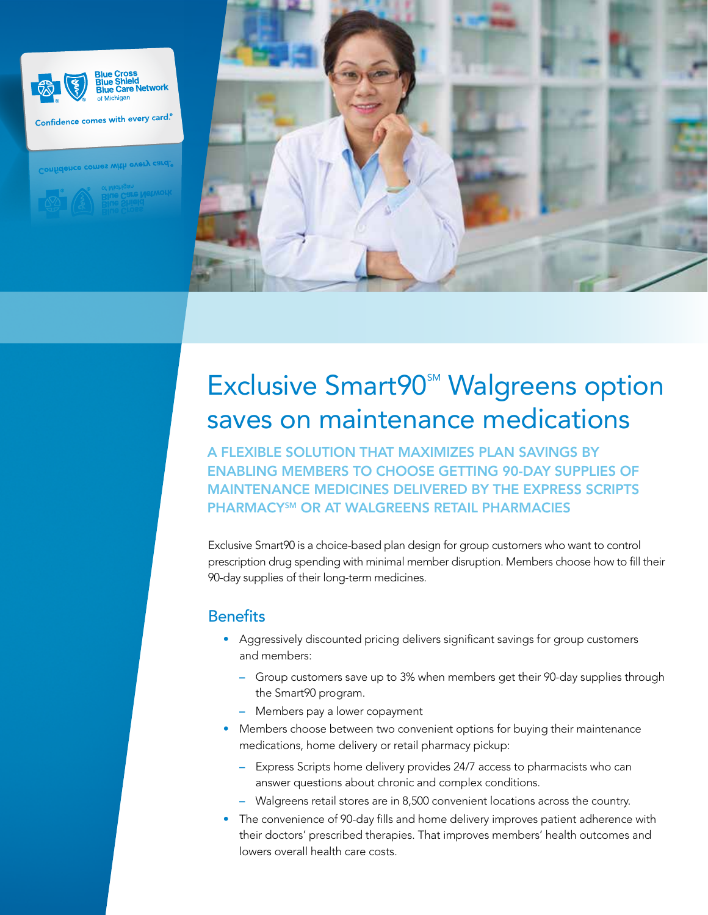

Confidence comes with every card.<sup>®</sup>

Confidence comes with every card



## **Exclusive Smart90<sup>SM</sup> Walgreens option** saves on maintenance medications

A FLEXIBLE SOLUTION THAT MAXIMIZES PLAN SAVINGS BY ENABLING MEMBERS TO CHOOSE GETTING 90-DAY SUPPLIES OF MAINTENANCE MEDICINES DELIVERED BY THE EXPRESS SCRIPTS PHARMACYSM OR AT WALGREENS RETAIL PHARMACIES

Exclusive Smart90 is a choice-based plan design for group customers who want to control prescription drug spending with minimal member disruption. Members choose how to fill their 90-day supplies of their long-term medicines.

#### **Benefits**

- Aggressively discounted pricing delivers significant savings for group customers and members:
	- Group customers save up to 3% when members get their 90-day supplies through the Smart90 program.
	- Members pay a lower copayment
- Members choose between two convenient options for buying their maintenance medications, home delivery or retail pharmacy pickup:
	- Express Scripts home delivery provides 24/7 access to pharmacists who can answer questions about chronic and complex conditions.
	- Walgreens retail stores are in 8,500 convenient locations across the country.
- The convenience of 90-day fills and home delivery improves patient adherence with their doctors' prescribed therapies. That improves members' health outcomes and lowers overall health care costs.